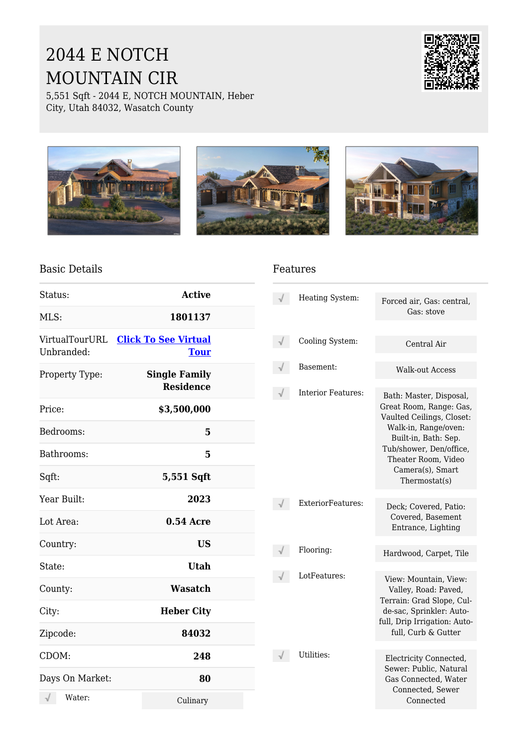# 2044 E NOTCH MOUNTAIN CIR

5,551 Sqft - 2044 E, NOTCH MOUNTAIN, Heber City, Utah 84032, Wasatch County









### Basic Details

| Status:         | <b>Active</b>                                      |  |
|-----------------|----------------------------------------------------|--|
| MLS:            | 1801137                                            |  |
| Unbranded:      | VirtualTourURL Click To See Virtual<br><b>Tour</b> |  |
| Property Type:  | <b>Single Family</b><br><b>Residence</b>           |  |
| Price:          | \$3,500,000                                        |  |
| Bedrooms:       | 5                                                  |  |
| Bathrooms:      | 5                                                  |  |
| Sqft:           | 5,551 Sqft                                         |  |
| Year Built:     | 2023                                               |  |
| Lot Area:       | <b>0.54 Acre</b>                                   |  |
| Country:        | <b>US</b>                                          |  |
| State:          | <b>Utah</b>                                        |  |
| County:         | <b>Wasatch</b>                                     |  |
| City:           | <b>Heber City</b>                                  |  |
| Zipcode:        | 84032                                              |  |
| CDOM:           | 248                                                |  |
| Days On Market: | 80                                                 |  |
| Water:          | Culinary                                           |  |

#### Features

| Heating System:    | Forced air, Gas: central,<br>Gas: stove                                                                                                                                                                                |
|--------------------|------------------------------------------------------------------------------------------------------------------------------------------------------------------------------------------------------------------------|
| Cooling System:    | Central Air                                                                                                                                                                                                            |
| Basement:          | Walk-out Access                                                                                                                                                                                                        |
| Interior Features: | Bath: Master, Disposal,<br>Great Room, Range: Gas,<br>Vaulted Ceilings, Closet:<br>Walk-in, Range/oven:<br>Built-in, Bath: Sep.<br>Tub/shower, Den/office,<br>Theater Room, Video<br>Camera(s), Smart<br>Thermostat(s) |
| ExteriorFeatures:  | Deck; Covered, Patio:<br>Covered, Basement<br>Entrance, Lighting                                                                                                                                                       |
| Flooring:          | Hardwood, Carpet, Tile                                                                                                                                                                                                 |
| LotFeatures:       | View: Mountain, View:<br>Valley, Road: Paved,<br>Terrain: Grad Slope, Cul-<br>de-sac, Sprinkler: Auto-<br>full, Drip Irrigation: Auto-<br>full, Curb & Gutter                                                          |
| Utilities:         | Electricity Connected,<br>Sewer: Public, Natural<br>Gas Connected, Water<br>Connected. Sewer<br>Connected                                                                                                              |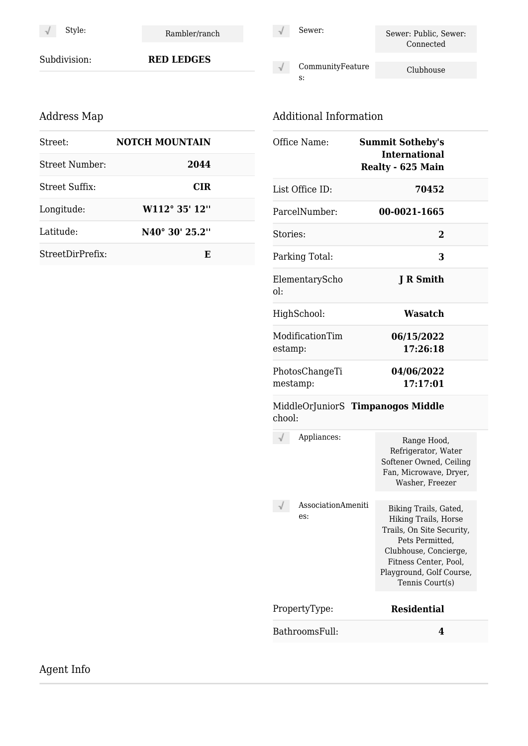$\sqrt{ }$ 

Style: Rambler/ranch

Subdivision: **RED LEDGES**

## Address Map

| Street:          | <b>NOTCH MOUNTAIN</b>       |  |
|------------------|-----------------------------|--|
| Street Number:   | 2044                        |  |
| Street Suffix:   | <b>CIR</b>                  |  |
| Longitude:       | W112° 35' 12"               |  |
| Latitude:        | N <sub>40</sub> ° 30' 25.2" |  |
| StreetDirPrefix: | E                           |  |

#### $\sqrt{}$

Sewer: Sewer: Public, Sewer: Connected

CommunityFeature  $\sqrt{ }$ Clubhouse s:

## Additional Information

| Office Name:               | <b>Summit Sotheby's</b><br><b>International</b><br><b>Realty - 625 Main</b> |  |
|----------------------------|-----------------------------------------------------------------------------|--|
| List Office ID:            | 70452                                                                       |  |
| ParcelNumber:              | 00-0021-1665                                                                |  |
| Stories:                   | $\mathcal{D}_{\cdot}$                                                       |  |
| Parking Total:             | 3                                                                           |  |
| ElementaryScho<br>ol:      | J R Smith                                                                   |  |
| HighSchool:                | Wasatch                                                                     |  |
| ModificationTim<br>estamp: | 06/15/2022<br>17:26:18                                                      |  |
| PhotosChangeTi<br>mestamp: | 04/06/2022<br>17:17:01                                                      |  |
|                            |                                                                             |  |

#### MiddleOrJuniorS **Timpanogos Middle** chool:

| Appliances:               | Range Hood,<br>Refrigerator, Water<br>Softener Owned, Ceiling<br>Fan, Microwave, Dryer,<br>Washer, Freezer                                                                                     |
|---------------------------|------------------------------------------------------------------------------------------------------------------------------------------------------------------------------------------------|
| AssociationAmeniti<br>es: | Biking Trails, Gated,<br>Hiking Trails, Horse<br>Trails, On Site Security,<br>Pets Permitted.<br>Clubhouse, Concierge,<br>Fitness Center, Pool,<br>Playground, Golf Course,<br>Tennis Court(s) |
| PropertyType:             | <b>Residential</b>                                                                                                                                                                             |
| BathroomsFull:            |                                                                                                                                                                                                |